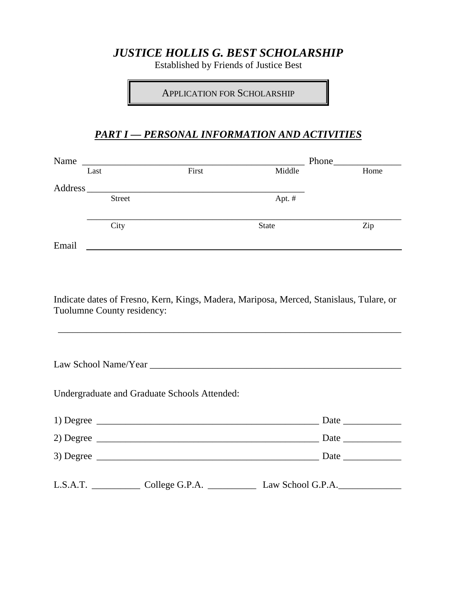# *JUSTICE HOLLIS G. BEST SCHOLARSHIP*

Established by Friends of Justice Best

APPLICATION FOR SCHOLARSHIP

### *PART I — PERSONAL INFORMATION AND ACTIVITIES*

|       | Last                       | First                                        | Middle                                                                                                               | Home |
|-------|----------------------------|----------------------------------------------|----------------------------------------------------------------------------------------------------------------------|------|
|       |                            |                                              |                                                                                                                      |      |
|       | <b>Street</b>              |                                              | Apt. #                                                                                                               |      |
|       | City                       |                                              | <b>State</b>                                                                                                         | Zip  |
| Email |                            |                                              | <u> Alexandria de la contrada de la contrada de la contrada de la contrada de la contrada de la contrada de la c</u> |      |
|       |                            |                                              |                                                                                                                      |      |
|       |                            |                                              |                                                                                                                      |      |
|       | Tuolumne County residency: |                                              | Indicate dates of Fresno, Kern, Kings, Madera, Mariposa, Merced, Stanislaus, Tulare, or                              |      |
|       |                            |                                              |                                                                                                                      |      |
|       |                            | Undergraduate and Graduate Schools Attended: |                                                                                                                      |      |
|       |                            |                                              |                                                                                                                      |      |
|       |                            |                                              |                                                                                                                      |      |
|       |                            |                                              |                                                                                                                      |      |
|       |                            |                                              |                                                                                                                      |      |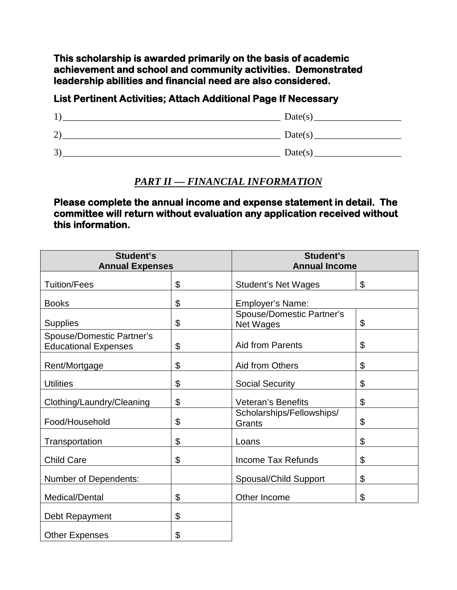**This scholarship is awarded primarily on the basis of academic achievement and school and community activities. Demonstrated leadership abilities and financial need are also considered.** 

#### **List Pertinent Activities; Attach Additional Page If Necessary**

| 1)  | Date(s) |
|-----|---------|
| (2) | Date(s) |
| 3)  | Date(s) |

#### *PART II — FINANCIAL INFORMATION*

**Please complete the annual income and expense statement in detail. The committee will return without evaluation any application received without this information.** 

| <b>Student's</b><br><b>Annual Expenses</b>                      |    | Student's                                            | <b>Annual Income</b> |  |
|-----------------------------------------------------------------|----|------------------------------------------------------|----------------------|--|
| <b>Tuition/Fees</b>                                             | \$ | <b>Student's Net Wages</b>                           | \$                   |  |
| <b>Books</b>                                                    | \$ | Employer's Name:                                     |                      |  |
| <b>Supplies</b>                                                 | \$ | <b>Spouse/Domestic Partner's</b><br><b>Net Wages</b> | \$                   |  |
| <b>Spouse/Domestic Partner's</b><br><b>Educational Expenses</b> | \$ | <b>Aid from Parents</b>                              | \$                   |  |
| Rent/Mortgage                                                   | \$ | Aid from Others                                      | \$                   |  |
| <b>Utilities</b>                                                | \$ | <b>Social Security</b>                               | \$                   |  |
| Clothing/Laundry/Cleaning                                       | \$ | <b>Veteran's Benefits</b>                            | \$                   |  |
| Food/Household                                                  | \$ | Scholarships/Fellowships/<br>Grants                  | \$                   |  |
| Transportation                                                  | \$ | Loans                                                | \$                   |  |
| <b>Child Care</b>                                               | \$ | <b>Income Tax Refunds</b>                            | \$                   |  |
| <b>Number of Dependents:</b>                                    |    | Spousal/Child Support                                | \$                   |  |
| Medical/Dental                                                  | \$ | Other Income                                         | \$                   |  |
| Debt Repayment                                                  | \$ |                                                      |                      |  |
| <b>Other Expenses</b>                                           | \$ |                                                      |                      |  |